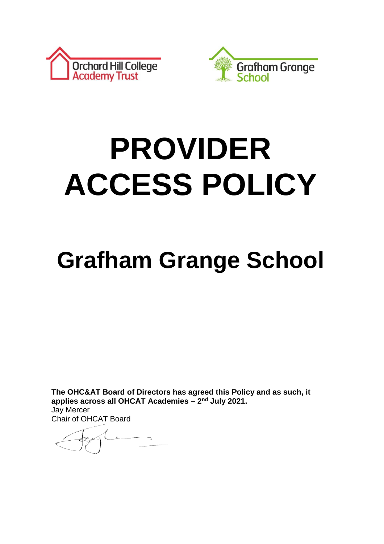



# **PROVIDER ACCESS POLICY**

# **Grafham Grange School**

**The OHC&AT Board of Directors has agreed this Policy and as such, it applies across all OHCAT Academies – 2 nd July 2021.** Jay Mercer

Chair of OHCAT Board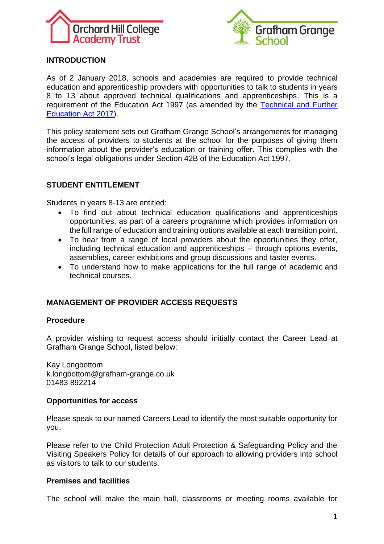



# **INTRODUCTION**

As of 2 January 2018, schools and academies are required to provide technical education and apprenticeship providers with opportunities to talk to students in years 8 to 13 about approved technical qualifications and apprenticeships. This is a requirement of the Education Act 1997 (as amended by the [Technical and Further](http://www.legislation.gov.uk/ukpga/2017/19/section/2)  [Education Act 2017\)](http://www.legislation.gov.uk/ukpga/2017/19/section/2).

This policy statement sets out Grafham Grange School's arrangements for managing the access of providers to students at the school for the purposes of giving them information about the provider's education or training offer. This complies with the school's legal obligations under Section 42B of the Education Act 1997.

## **STUDENT ENTITLEMENT**

Students in years 8-13 are entitled:

- To find out about technical education qualifications and apprenticeships opportunities, as part of a careers programme which provides information on thefull range of education and training options available at each transition point.
- To hear from a range of local providers about the opportunities they offer, including technical education and apprenticeships – through options events, assemblies, career exhibitions and group discussions and taster events.
- To understand how to make applications for the full range of academic and technical courses.

# **MANAGEMENT OF PROVIDER ACCESS REQUESTS**

#### **Procedure**

A provider wishing to request access should initially contact the Career Lead at Grafham Grange School, listed below:

Kay Longbottom k.longbottom@grafham-grange.co.uk 01483 892214

#### **Opportunities for access**

Please speak to our named Careers Lead to identify the most suitable opportunity for you.

Please refer to the Child Protection Adult Protection & Safeguarding Policy and the Visiting Speakers Policy for details of our approach to allowing providers into school as visitors to talk to our students.

## **Premises and facilities**

The school will make the main hall, classrooms or meeting rooms available for